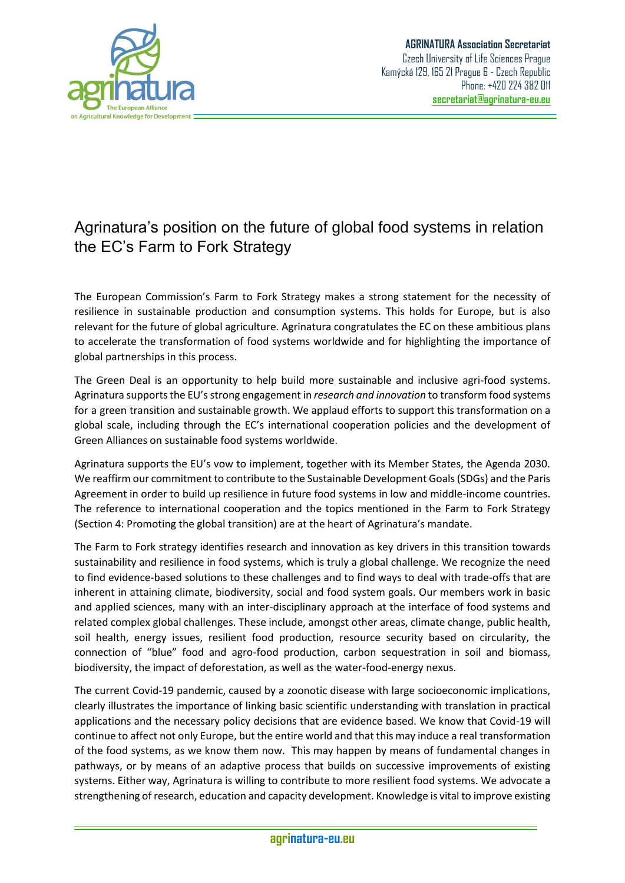

## Agrinatura's position on the future of global food systems in relation the EC's Farm to Fork Strategy

The European Commission's Farm to Fork Strategy makes a strong statement for the necessity of resilience in sustainable production and consumption systems. This holds for Europe, but is also relevant for the future of global agriculture. Agrinatura congratulates the EC on these ambitious plans to accelerate the transformation of food systems worldwide and for highlighting the importance of global partnerships in this process.

The Green Deal is an opportunity to help build more sustainable and inclusive agri-food systems. Agrinatura supports the EU's strong engagement in *research and innovation* to transform food systems for a green transition and sustainable growth. We applaud efforts to support this transformation on a global scale, including through the EC's international cooperation policies and the development of Green Alliances on sustainable food systems worldwide.

Agrinatura supports the EU's vow to implement, together with its Member States, the Agenda 2030. We reaffirm our commitment to contribute to the Sustainable Development Goals (SDGs) and the Paris Agreement in order to build up resilience in future food systems in low and middle-income countries. The reference to international cooperation and the topics mentioned in the Farm to Fork Strategy (Section 4: Promoting the global transition) are at the heart of Agrinatura's mandate.

The Farm to Fork strategy identifies research and innovation as key drivers in this transition towards sustainability and resilience in food systems, which is truly a global challenge. We recognize the need to find evidence-based solutions to these challenges and to find ways to deal with trade-offs that are inherent in attaining climate, biodiversity, social and food system goals. Our members work in basic and applied sciences, many with an inter-disciplinary approach at the interface of food systems and related complex global challenges. These include, amongst other areas, climate change, public health, soil health, energy issues, resilient food production, resource security based on circularity, the connection of "blue" food and agro-food production, carbon sequestration in soil and biomass, biodiversity, the impact of deforestation, as well as the water-food-energy nexus.

The current Covid-19 pandemic, caused by a zoonotic disease with large socioeconomic implications, clearly illustrates the importance of linking basic scientific understanding with translation in practical applications and the necessary policy decisions that are evidence based. We know that Covid-19 will continue to affect not only Europe, but the entire world and that this may induce a real transformation of the food systems, as we know them now. This may happen by means of fundamental changes in pathways, or by means of an adaptive process that builds on successive improvements of existing systems. Either way, Agrinatura is willing to contribute to more resilient food systems. We advocate a strengthening of research, education and capacity development. Knowledge is vital to improve existing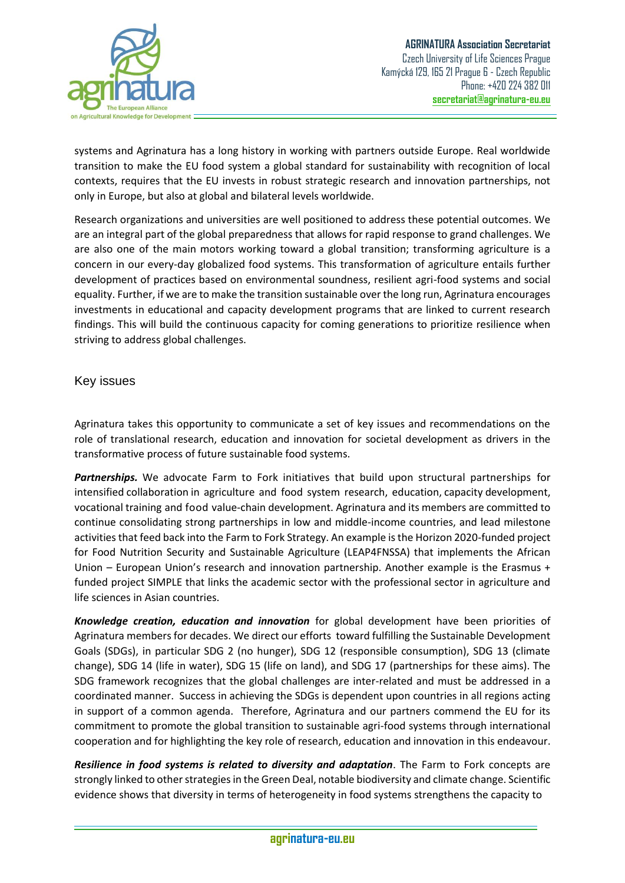

systems and Agrinatura has a long history in working with partners outside Europe. Real worldwide transition to make the EU food system a global standard for sustainability with recognition of local contexts, requires that the EU invests in robust strategic research and innovation partnerships, not only in Europe, but also at global and bilateral levels worldwide.

Research organizations and universities are well positioned to address these potential outcomes. We are an integral part of the global preparedness that allows for rapid response to grand challenges. We are also one of the main motors working toward a global transition; transforming agriculture is a concern in our every-day globalized food systems. This transformation of agriculture entails further development of practices based on environmental soundness, resilient agri-food systems and social equality. Further, if we are to make the transition sustainable over the long run, Agrinatura encourages investments in educational and capacity development programs that are linked to current research findings. This will build the continuous capacity for coming generations to prioritize resilience when striving to address global challenges.

Key issues

Agrinatura takes this opportunity to communicate a set of key issues and recommendations on the role of translational research, education and innovation for societal development as drivers in the transformative process of future sustainable food systems.

*Partnerships.* We advocate Farm to Fork initiatives that build upon structural partnerships for intensified collaboration in agriculture and food system research, education, capacity development, vocational training and food value-chain development. Agrinatura and its members are committed to continue consolidating strong partnerships in low and middle-income countries, and lead milestone activities that feed back into the Farm to Fork Strategy. An example is the Horizon 2020-funded project for Food Nutrition Security and Sustainable Agriculture (LEAP4FNSSA) that implements the African Union – European Union's research and innovation partnership. Another example is the Erasmus + funded project SIMPLE that links the academic sector with the professional sector in agriculture and life sciences in Asian countries.

*Knowledge creation, education and innovation* for global development have been priorities of Agrinatura members for decades. We direct our efforts toward fulfilling the Sustainable Development Goals (SDGs), in particular SDG 2 (no hunger), SDG 12 (responsible consumption), SDG 13 (climate change), SDG 14 (life in water), SDG 15 (life on land), and SDG 17 (partnerships for these aims). The SDG framework recognizes that the global challenges are inter-related and must be addressed in a coordinated manner. Success in achieving the SDGs is dependent upon countries in all regions acting in support of a common agenda. Therefore, Agrinatura and our partners commend the EU for its commitment to promote the global transition to sustainable agri-food systems through international cooperation and for highlighting the key role of research, education and innovation in this endeavour.

*Resilience in food systems is related to diversity and adaptation*. The Farm to Fork concepts are strongly linked to other strategies in the Green Deal, notable biodiversity and climate change. Scientific evidence shows that diversity in terms of heterogeneity in food systems strengthens the capacity to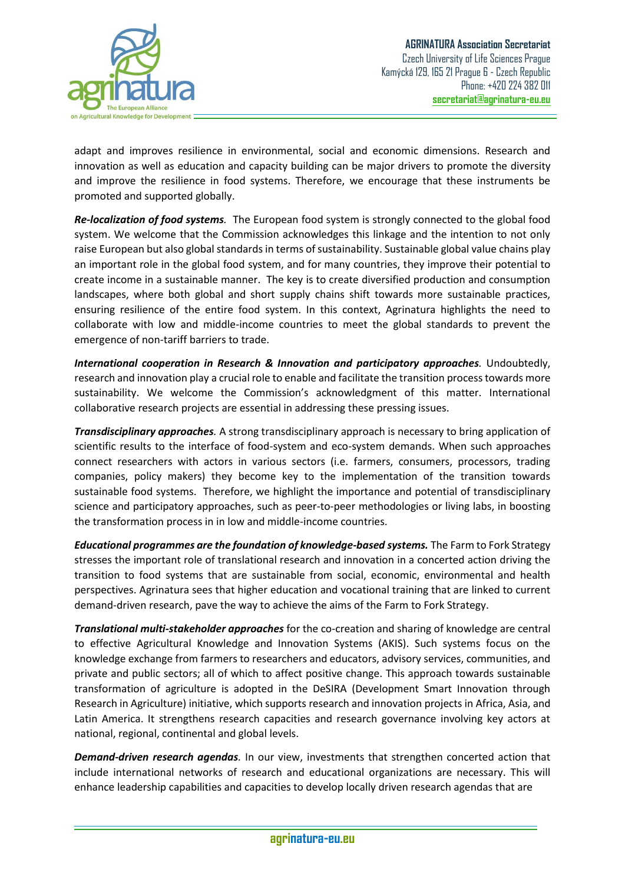

adapt and improves resilience in environmental, social and economic dimensions. Research and innovation as well as education and capacity building can be major drivers to promote the diversity and improve the resilience in food systems. Therefore, we encourage that these instruments be promoted and supported globally.

*Re-localization of food systems.* The European food system is strongly connected to the global food system. We welcome that the Commission acknowledges this linkage and the intention to not only raise European but also global standards in terms of sustainability. Sustainable global value chains play an important role in the global food system, and for many countries, they improve their potential to create income in a sustainable manner. The key is to create diversified production and consumption landscapes, where both global and short supply chains shift towards more sustainable practices, ensuring resilience of the entire food system. In this context, Agrinatura highlights the need to collaborate with low and middle-income countries to meet the global standards to prevent the emergence of non-tariff barriers to trade.

*International cooperation in Research & Innovation and participatory approaches.* Undoubtedly, research and innovation play a crucial role to enable and facilitate the transition process towards more sustainability. We welcome the Commission's acknowledgment of this matter. International collaborative research projects are essential in addressing these pressing issues.

*Transdisciplinary approaches.* A strong transdisciplinary approach is necessary to bring application of scientific results to the interface of food-system and eco-system demands. When such approaches connect researchers with actors in various sectors (i.e. farmers, consumers, processors, trading companies, policy makers) they become key to the implementation of the transition towards sustainable food systems. Therefore, we highlight the importance and potential of transdisciplinary science and participatory approaches, such as peer-to-peer methodologies or living labs, in boosting the transformation process in in low and middle-income countries.

*Educational programmes are the foundation of knowledge-based systems.* The Farm to Fork Strategy stresses the important role of translational research and innovation in a concerted action driving the transition to food systems that are sustainable from social, economic, environmental and health perspectives. Agrinatura sees that higher education and vocational training that are linked to current demand-driven research, pave the way to achieve the aims of the Farm to Fork Strategy.

*Translational multi-stakeholder approaches* for the co-creation and sharing of knowledge are central to effective Agricultural Knowledge and Innovation Systems (AKIS). Such systems focus on the knowledge exchange from farmers to researchers and educators, advisory services, communities, and private and public sectors; all of which to affect positive change. This approach towards sustainable transformation of agriculture is adopted in the DeSIRA (Development Smart Innovation through Research in Agriculture) initiative, which supports research and innovation projects in Africa, Asia, and Latin America. It strengthens research capacities and research governance involving key actors at national, regional, continental and global levels.

*Demand-driven research agendas.* In our view, investments that strengthen concerted action that include international networks of research and educational organizations are necessary. This will enhance leadership capabilities and capacities to develop locally driven research agendas that are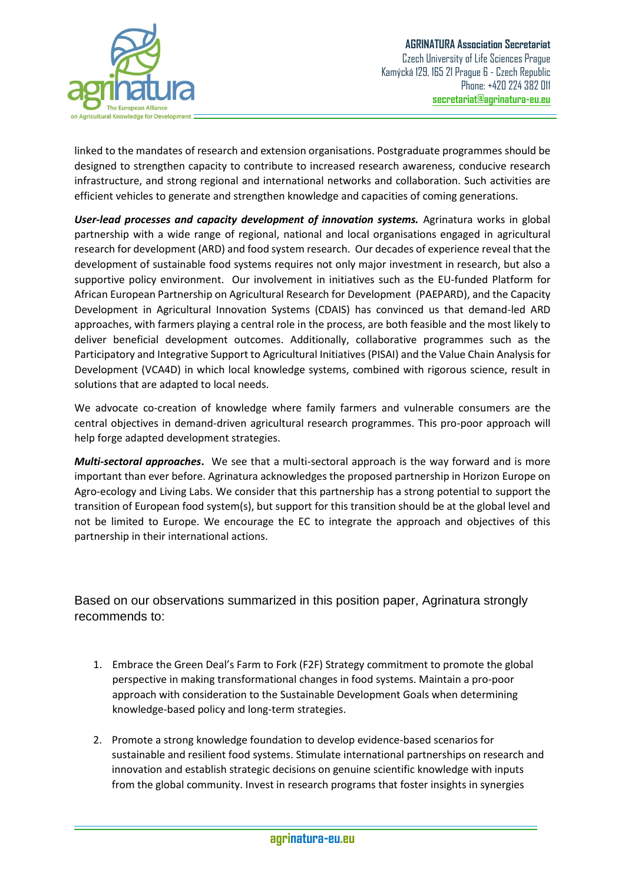

linked to the mandates of research and extension organisations. Postgraduate programmes should be designed to strengthen capacity to contribute to increased research awareness, conducive research infrastructure, and strong regional and international networks and collaboration. Such activities are efficient vehicles to generate and strengthen knowledge and capacities of coming generations.

*User-lead processes and capacity development of innovation systems.* Agrinatura works in global partnership with a wide range of regional, national and local organisations engaged in agricultural research for development (ARD) and food system research. Our decades of experience reveal that the development of sustainable food systems requires not only major investment in research, but also a supportive policy environment. Our involvement in initiatives such as the EU-funded Platform for African European Partnership on Agricultural Research for Development (PAEPARD), and the Capacity Development in Agricultural Innovation Systems (CDAIS) has convinced us that demand-led ARD approaches, with farmers playing a central role in the process, are both feasible and the most likely to deliver beneficial development outcomes. Additionally, collaborative programmes such as the Participatory and Integrative Support to Agricultural Initiatives (PISAI) and the Value Chain Analysis for Development (VCA4D) in which local knowledge systems, combined with rigorous science, result in solutions that are adapted to local needs.

We advocate co-creation of knowledge where family farmers and vulnerable consumers are the central objectives in demand-driven agricultural research programmes. This pro-poor approach will help forge adapted development strategies.

*Multi-sectoral approaches***.** We see that a multi-sectoral approach is the way forward and is more important than ever before. Agrinatura acknowledges the proposed partnership in Horizon Europe on Agro-ecology and Living Labs. We consider that this partnership has a strong potential to support the transition of European food system(s), but support for this transition should be at the global level and not be limited to Europe. We encourage the EC to integrate the approach and objectives of this partnership in their international actions.

Based on our observations summarized in this position paper, Agrinatura strongly recommends to:

- 1. Embrace the Green Deal's Farm to Fork (F2F) Strategy commitment to promote the global perspective in making transformational changes in food systems. Maintain a pro-poor approach with consideration to the Sustainable Development Goals when determining knowledge-based policy and long-term strategies.
- 2. Promote a strong knowledge foundation to develop evidence-based scenarios for sustainable and resilient food systems. Stimulate international partnerships on research and innovation and establish strategic decisions on genuine scientific knowledge with inputs from the global community. Invest in research programs that foster insights in synergies